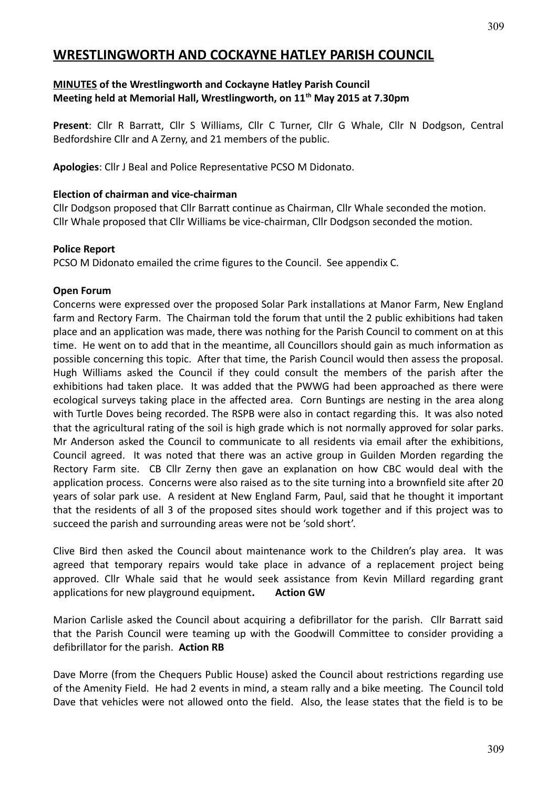# **WRESTLINGWORTH AND COCKAYNE HATLEY PARISH COUNCIL**

## **MINUTES of the Wrestlingworth and Cockayne Hatley Parish Council Meeting held at Memorial Hall, Wrestlingworth, on 11th May 2015 at 7.30pm**

**Present**: Cllr R Barratt, Cllr S Williams, Cllr C Turner, Cllr G Whale, Cllr N Dodgson, Central Bedfordshire Cllr and A Zerny, and 21 members of the public.

**Apologies**: Cllr J Beal and Police Representative PCSO M Didonato.

#### **Election of chairman and vice-chairman**

Cllr Dodgson proposed that Cllr Barratt continue as Chairman, Cllr Whale seconded the motion. Cllr Whale proposed that Cllr Williams be vice-chairman, Cllr Dodgson seconded the motion.

#### **Police Report**

PCSO M Didonato emailed the crime figures to the Council. See appendix C.

#### **Open Forum**

Concerns were expressed over the proposed Solar Park installations at Manor Farm, New England farm and Rectory Farm. The Chairman told the forum that until the 2 public exhibitions had taken place and an application was made, there was nothing for the Parish Council to comment on at this time. He went on to add that in the meantime, all Councillors should gain as much information as possible concerning this topic. After that time, the Parish Council would then assess the proposal. Hugh Williams asked the Council if they could consult the members of the parish after the exhibitions had taken place. It was added that the PWWG had been approached as there were ecological surveys taking place in the affected area. Corn Buntings are nesting in the area along with Turtle Doves being recorded. The RSPB were also in contact regarding this. It was also noted that the agricultural rating of the soil is high grade which is not normally approved for solar parks. Mr Anderson asked the Council to communicate to all residents via email after the exhibitions, Council agreed. It was noted that there was an active group in Guilden Morden regarding the Rectory Farm site. CB Cllr Zerny then gave an explanation on how CBC would deal with the application process. Concerns were also raised as to the site turning into a brownfield site after 20 years of solar park use. A resident at New England Farm, Paul, said that he thought it important that the residents of all 3 of the proposed sites should work together and if this project was to succeed the parish and surrounding areas were not be 'sold short'.

Clive Bird then asked the Council about maintenance work to the Children's play area. It was agreed that temporary repairs would take place in advance of a replacement project being approved. Cllr Whale said that he would seek assistance from Kevin Millard regarding grant applications for new playground equipment**. Action GW**

Marion Carlisle asked the Council about acquiring a defibrillator for the parish. Cllr Barratt said that the Parish Council were teaming up with the Goodwill Committee to consider providing a defibrillator for the parish. **Action RB**

Dave Morre (from the Chequers Public House) asked the Council about restrictions regarding use of the Amenity Field. He had 2 events in mind, a steam rally and a bike meeting. The Council told Dave that vehicles were not allowed onto the field. Also, the lease states that the field is to be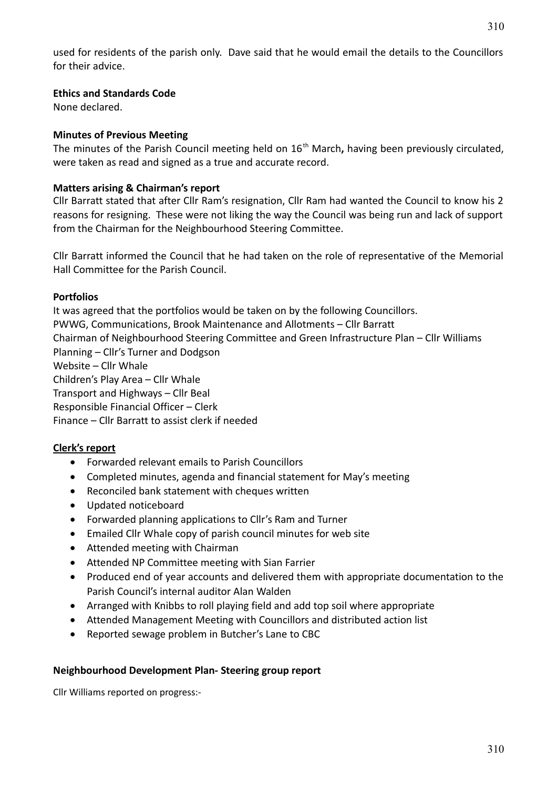used for residents of the parish only. Dave said that he would email the details to the Councillors for their advice.

## **Ethics and Standards Code**

None declared.

# **Minutes of Previous Meeting**

The minutes of the Parish Council meeting held on 16<sup>th</sup> March, having been previously circulated, were taken as read and signed as a true and accurate record.

# **Matters arising & Chairman's report**

Cllr Barratt stated that after Cllr Ram's resignation, Cllr Ram had wanted the Council to know his 2 reasons for resigning. These were not liking the way the Council was being run and lack of support from the Chairman for the Neighbourhood Steering Committee.

Cllr Barratt informed the Council that he had taken on the role of representative of the Memorial Hall Committee for the Parish Council.

## **Portfolios**

It was agreed that the portfolios would be taken on by the following Councillors. PWWG, Communications, Brook Maintenance and Allotments – Cllr Barratt Chairman of Neighbourhood Steering Committee and Green Infrastructure Plan – Cllr Williams Planning – Cllr's Turner and Dodgson Website – Cllr Whale Children's Play Area – Cllr Whale Transport and Highways – Cllr Beal Responsible Financial Officer – Clerk Finance – Cllr Barratt to assist clerk if needed

## **Clerk's report**

- Forwarded relevant emails to Parish Councillors
- Completed minutes, agenda and financial statement for May's meeting
- Reconciled bank statement with cheques written
- Updated noticeboard
- Forwarded planning applications to Cllr's Ram and Turner
- Emailed Cllr Whale copy of parish council minutes for web site
- Attended meeting with Chairman
- Attended NP Committee meeting with Sian Farrier
- Produced end of year accounts and delivered them with appropriate documentation to the Parish Council's internal auditor Alan Walden
- Arranged with Knibbs to roll playing field and add top soil where appropriate
- Attended Management Meeting with Councillors and distributed action list
- Reported sewage problem in Butcher's Lane to CBC

## **Neighbourhood Development Plan- Steering group report**

Cllr Williams reported on progress:-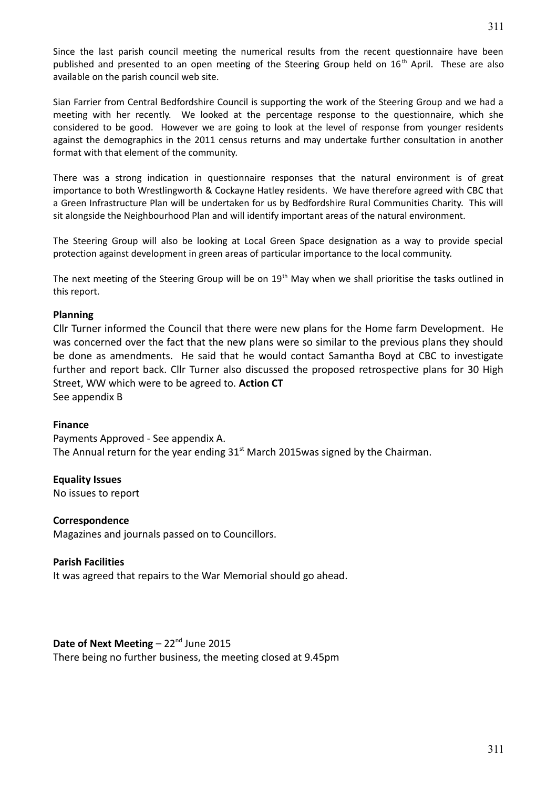Since the last parish council meeting the numerical results from the recent questionnaire have been published and presented to an open meeting of the Steering Group held on 16<sup>th</sup> April. These are also available on the parish council web site.

Sian Farrier from Central Bedfordshire Council is supporting the work of the Steering Group and we had a meeting with her recently. We looked at the percentage response to the questionnaire, which she considered to be good. However we are going to look at the level of response from younger residents against the demographics in the 2011 census returns and may undertake further consultation in another format with that element of the community.

There was a strong indication in questionnaire responses that the natural environment is of great importance to both Wrestlingworth & Cockayne Hatley residents. We have therefore agreed with CBC that a Green Infrastructure Plan will be undertaken for us by Bedfordshire Rural Communities Charity. This will sit alongside the Neighbourhood Plan and will identify important areas of the natural environment.

The Steering Group will also be looking at Local Green Space designation as a way to provide special protection against development in green areas of particular importance to the local community.

The next meeting of the Steering Group will be on  $19<sup>th</sup>$  May when we shall prioritise the tasks outlined in this report.

#### **Planning**

Cllr Turner informed the Council that there were new plans for the Home farm Development. He was concerned over the fact that the new plans were so similar to the previous plans they should be done as amendments. He said that he would contact Samantha Boyd at CBC to investigate further and report back. Cllr Turner also discussed the proposed retrospective plans for 30 High Street, WW which were to be agreed to. **Action CT** See appendix B

#### **Finance**

Payments Approved - See appendix A. The Annual return for the year ending  $31<sup>st</sup>$  March 2015was signed by the Chairman.

## **Equality Issues**

No issues to report

#### **Correspondence**

Magazines and journals passed on to Councillors.

#### **Parish Facilities**

It was agreed that repairs to the War Memorial should go ahead.

# **Date of Next Meeting** – 22<sup>nd</sup> June 2015

There being no further business, the meeting closed at 9.45pm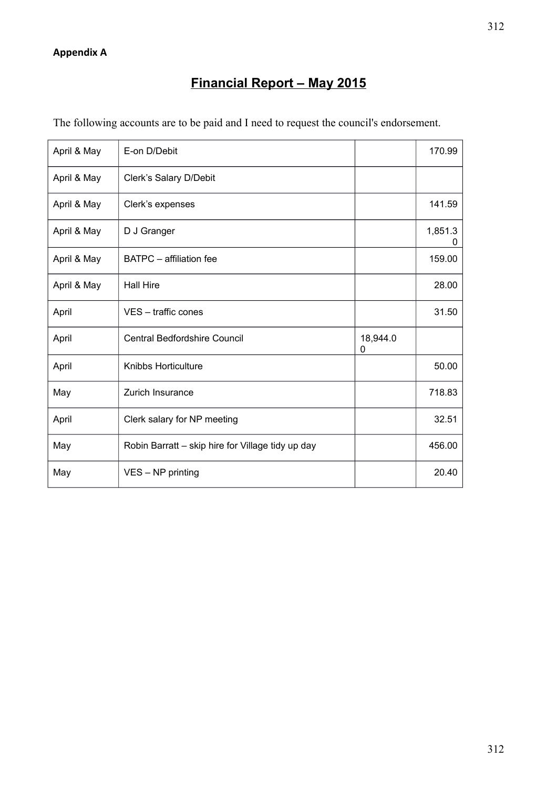# **Financial Report – May 2015**

| The following accounts are to be paid and I need to request the council's endorsement. |  |  |
|----------------------------------------------------------------------------------------|--|--|
|                                                                                        |  |  |

| April & May | E-on D/Debit                                      |               | 170.99       |
|-------------|---------------------------------------------------|---------------|--------------|
| April & May | Clerk's Salary D/Debit                            |               |              |
| April & May | Clerk's expenses                                  |               | 141.59       |
| April & May | D J Granger                                       |               | 1,851.3<br>0 |
| April & May | <b>BATPC</b> – affiliation fee                    |               | 159.00       |
| April & May | <b>Hall Hire</b>                                  |               | 28.00        |
| April       | VES - traffic cones                               |               | 31.50        |
| April       | Central Bedfordshire Council                      | 18,944.0<br>0 |              |
| April       | Knibbs Horticulture                               |               | 50.00        |
| May         | Zurich Insurance                                  |               | 718.83       |
| April       | Clerk salary for NP meeting                       |               | 32.51        |
| May         | Robin Barratt - skip hire for Village tidy up day |               | 456.00       |
| May         | VES - NP printing                                 |               | 20.40        |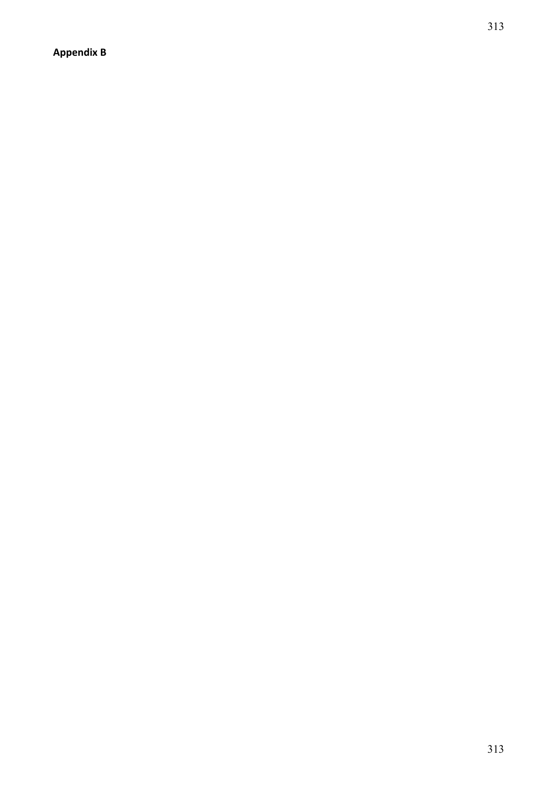**Appendix B**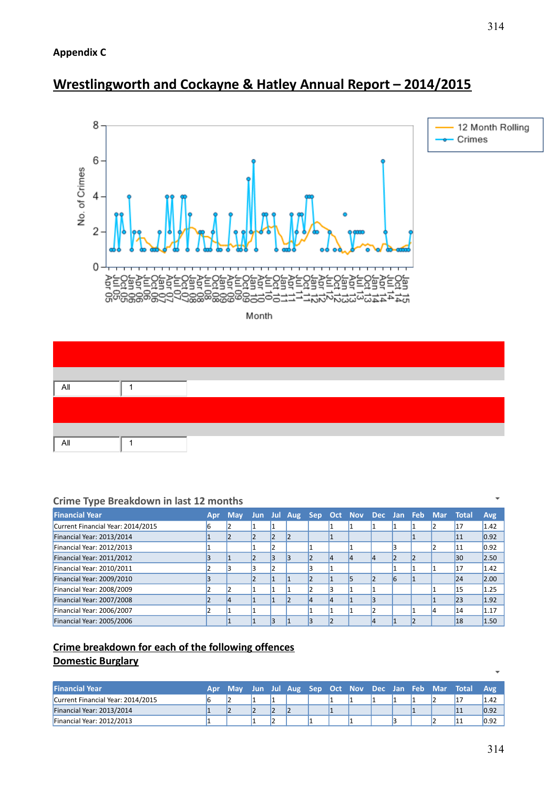

# **Wrestlingworth and Cockayne & Hatley Annual Report – 2014/2015**





# **Crime Type Breakdown in last 12 months**

| <b>Financial Year</b>             | <b>Apr</b> | <b>May</b> |   |  |    |  |    | Jun Jul Aug Sep Oct Nov Dec Jan Feb Mar Total |           | <b>Avg</b> |
|-----------------------------------|------------|------------|---|--|----|--|----|-----------------------------------------------|-----------|------------|
| Current Financial Year: 2014/2015 |            |            |   |  |    |  |    |                                               | 17        | 1.42       |
| Financial Year: 2013/2014         |            |            |   |  |    |  |    |                                               | <b>11</b> | 0.92       |
| Financial Year: 2012/2013         |            |            |   |  |    |  |    |                                               | 11        | 0.92       |
| Financial Year: 2011/2012         |            |            | В |  | 14 |  |    |                                               | 30        | 2.50       |
| Financial Year: 2010/2011         |            |            |   |  |    |  |    |                                               |           | 1.42       |
| Financial Year: 2009/2010         |            |            |   |  |    |  | 16 |                                               | 24        | 2.00       |
| Financial Year: 2008/2009         |            |            |   |  |    |  |    |                                               | 15        | 1.25       |
| Financial Year: 2007/2008         |            |            |   |  | 4  |  |    |                                               | 23        | 1.92       |
| Financial Year: 2006/2007         |            |            |   |  |    |  |    |                                               | 14        | 1.17       |
| Financial Year: 2005/2006         |            |            |   |  |    |  |    |                                               | 18        | 1.50       |

# **Crime breakdown for each of the following offences Domestic Burglary**

| <b>Financial Year</b>             | Apr | ' Mav |  |  |  |  | Jun Jul Aug Sep Oct Nov Dec Jan Feb Mar Total | <b>Avg</b> |
|-----------------------------------|-----|-------|--|--|--|--|-----------------------------------------------|------------|
| Current Financial Year: 2014/2015 |     |       |  |  |  |  |                                               | 1.42       |
| Financial Year: 2013/2014         |     |       |  |  |  |  |                                               | 0.92       |
| Financial Year: 2012/2013         |     |       |  |  |  |  |                                               | 0.92       |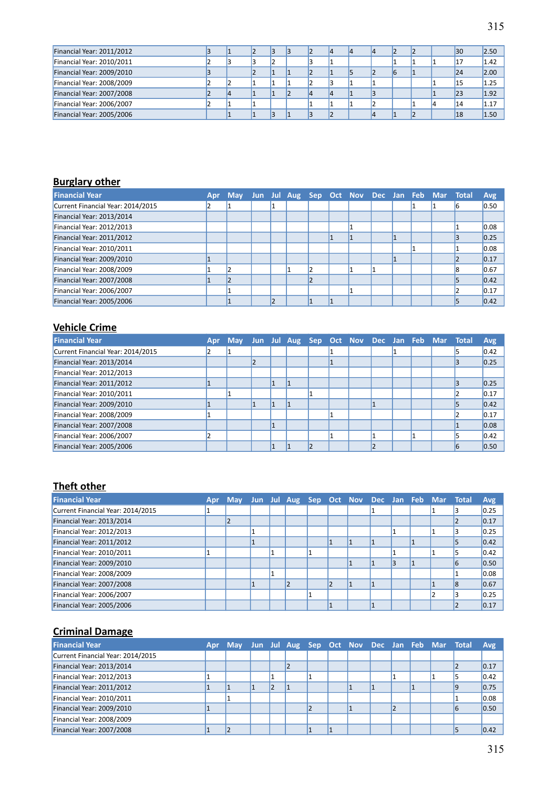| Financial Year: 2011/2012 |  |  |  |  |  |  | 30 | 2.50 |
|---------------------------|--|--|--|--|--|--|----|------|
| Financial Year: 2010/2011 |  |  |  |  |  |  | 17 | 1.42 |
| Financial Year: 2009/2010 |  |  |  |  |  |  | 24 | 2.00 |
| Financial Year: 2008/2009 |  |  |  |  |  |  | 15 | 1.25 |
| Financial Year: 2007/2008 |  |  |  |  |  |  | 23 | 1.92 |
| Financial Year: 2006/2007 |  |  |  |  |  |  | 14 | 1.17 |
| Financial Year: 2005/2006 |  |  |  |  |  |  | 18 | 1.50 |

# **Burglary other**

| <b>Financial Year</b>             | Apr | May Jun Jul Aug Sep Oct Nov Dec Jan Feb Mar Total |  |  |  |  |  | <b>Avg</b> |
|-----------------------------------|-----|---------------------------------------------------|--|--|--|--|--|------------|
| Current Financial Year: 2014/2015 |     |                                                   |  |  |  |  |  | 0.50       |
| Financial Year: 2013/2014         |     |                                                   |  |  |  |  |  |            |
| Financial Year: 2012/2013         |     |                                                   |  |  |  |  |  | 0.08       |
| Financial Year: 2011/2012         |     |                                                   |  |  |  |  |  | 0.25       |
| Financial Year: 2010/2011         |     |                                                   |  |  |  |  |  | 0.08       |
| Financial Year: 2009/2010         |     |                                                   |  |  |  |  |  | 0.17       |
| Financial Year: 2008/2009         |     |                                                   |  |  |  |  |  | 0.67       |
| Financial Year: 2007/2008         |     |                                                   |  |  |  |  |  | 0.42       |
| Financial Year: 2006/2007         |     |                                                   |  |  |  |  |  | 0.17       |
| Financial Year: 2005/2006         |     |                                                   |  |  |  |  |  | 0.42       |

# **Vehicle Crime**

| <b>Financial Year</b>             | Apr | <b>May</b> |  |  |  |  | Jun Jul Aug Sep Oct Nov Dec Jan Feb Mar Total | Avg  |
|-----------------------------------|-----|------------|--|--|--|--|-----------------------------------------------|------|
| Current Financial Year: 2014/2015 |     |            |  |  |  |  |                                               | 0.42 |
| Financial Year: 2013/2014         |     |            |  |  |  |  |                                               | 0.25 |
| Financial Year: 2012/2013         |     |            |  |  |  |  |                                               |      |
| Financial Year: 2011/2012         |     |            |  |  |  |  |                                               | 0.25 |
| Financial Year: 2010/2011         |     |            |  |  |  |  |                                               | 0.17 |
| Financial Year: 2009/2010         |     |            |  |  |  |  |                                               | 0.42 |
| Financial Year: 2008/2009         |     |            |  |  |  |  |                                               | 0.17 |
| Financial Year: 2007/2008         |     |            |  |  |  |  |                                               | 0.08 |
| Financial Year: 2006/2007         |     |            |  |  |  |  |                                               | 0.42 |
| Financial Year: 2005/2006         |     |            |  |  |  |  |                                               | 0.50 |

# **Theft other**

| <b>Financial Year</b>             | Apr | May Jun Jul Aug Sep Oct Nov Dec Jan Feb Mar Total |  |  |  |   |  | <b>Avg</b> |
|-----------------------------------|-----|---------------------------------------------------|--|--|--|---|--|------------|
| Current Financial Year: 2014/2015 |     |                                                   |  |  |  |   |  | 0.25       |
| Financial Year: 2013/2014         |     |                                                   |  |  |  |   |  | 0.17       |
| Financial Year: 2012/2013         |     |                                                   |  |  |  |   |  | 0.25       |
| Financial Year: 2011/2012         |     |                                                   |  |  |  |   |  | 0.42       |
| Financial Year: 2010/2011         |     |                                                   |  |  |  |   |  | 0.42       |
| Financial Year: 2009/2010         |     |                                                   |  |  |  | 3 |  | 0.50       |
| Financial Year: 2008/2009         |     |                                                   |  |  |  |   |  | 0.08       |
| Financial Year: 2007/2008         |     |                                                   |  |  |  |   |  | 0.67       |
| Financial Year: 2006/2007         |     |                                                   |  |  |  |   |  | 0.25       |
| Financial Year: 2005/2006         |     |                                                   |  |  |  |   |  | 0.17       |

# **Criminal Damage**

| <b>Financial Year</b>             | Apr | May Jun Jul Aug Sep Oct Nov Dec Jan Feb Mar Total |  |  |  |  |  | <b>Avg</b> |
|-----------------------------------|-----|---------------------------------------------------|--|--|--|--|--|------------|
| Current Financial Year: 2014/2015 |     |                                                   |  |  |  |  |  |            |
| Financial Year: 2013/2014         |     |                                                   |  |  |  |  |  | 0.17       |
| Financial Year: 2012/2013         |     |                                                   |  |  |  |  |  | 0.42       |
| Financial Year: 2011/2012         |     |                                                   |  |  |  |  |  | 0.75       |
| Financial Year: 2010/2011         |     |                                                   |  |  |  |  |  | 0.08       |
| Financial Year: 2009/2010         |     |                                                   |  |  |  |  |  | 0.50       |
| Financial Year: 2008/2009         |     |                                                   |  |  |  |  |  |            |
| Financial Year: 2007/2008         |     |                                                   |  |  |  |  |  | 0.42       |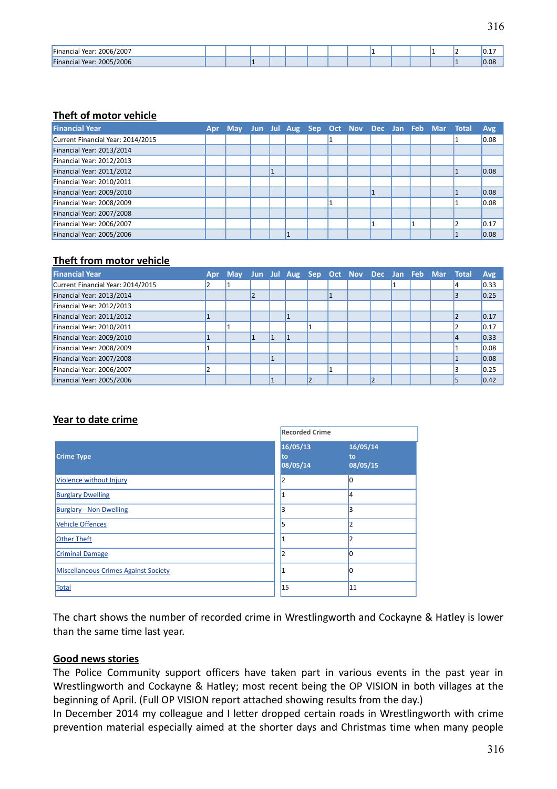| . 2006/2007<br>'Financia <sub>r</sub><br>Year∙ |  |  |  |  |  |  | . .<br>∣∪.⊥ |
|------------------------------------------------|--|--|--|--|--|--|-------------|
| /2006<br>`Financia<br>2005/<br>Year:           |  |  |  |  |  |  | 0.08        |

#### **Theft of motor vehicle**

| <b>Financial Year</b>             | Apr May Jun Jul Aug Sep Oct Nov Dec Jan Feb Mar Total |  |  |  |  |  | <b>Avg</b> |
|-----------------------------------|-------------------------------------------------------|--|--|--|--|--|------------|
| Current Financial Year: 2014/2015 |                                                       |  |  |  |  |  | 0.08       |
| Financial Year: 2013/2014         |                                                       |  |  |  |  |  |            |
| Financial Year: 2012/2013         |                                                       |  |  |  |  |  |            |
| Financial Year: 2011/2012         |                                                       |  |  |  |  |  | 0.08       |
| Financial Year: 2010/2011         |                                                       |  |  |  |  |  |            |
| Financial Year: 2009/2010         |                                                       |  |  |  |  |  | 0.08       |
| Financial Year: 2008/2009         |                                                       |  |  |  |  |  | 0.08       |
| Financial Year: 2007/2008         |                                                       |  |  |  |  |  |            |
| Financial Year: 2006/2007         |                                                       |  |  |  |  |  | 0.17       |
| Financial Year: 2005/2006         |                                                       |  |  |  |  |  | 0.08       |

#### **Theft from motor vehicle**

| <b>Financial Year</b>             | Apr | May Jun Jul Aug Sep Oct Nov Dec Jan Feb Mar Total |  |  |  |  |  | <b>Avg</b> |
|-----------------------------------|-----|---------------------------------------------------|--|--|--|--|--|------------|
| Current Financial Year: 2014/2015 |     |                                                   |  |  |  |  |  | 0.33       |
| Financial Year: 2013/2014         |     |                                                   |  |  |  |  |  | 0.25       |
| Financial Year: 2012/2013         |     |                                                   |  |  |  |  |  |            |
| Financial Year: 2011/2012         |     |                                                   |  |  |  |  |  | 0.17       |
| Financial Year: 2010/2011         |     |                                                   |  |  |  |  |  | 0.17       |
| Financial Year: 2009/2010         |     |                                                   |  |  |  |  |  | 0.33       |
| Financial Year: 2008/2009         |     |                                                   |  |  |  |  |  | 0.08       |
| Financial Year: 2007/2008         |     |                                                   |  |  |  |  |  | 0.08       |
| Financial Year: 2006/2007         |     |                                                   |  |  |  |  |  | 0.25       |
| Financial Year: 2005/2006         |     |                                                   |  |  |  |  |  | 0.42       |

## **Year to date crime**

|                                             | <b>Recorded Crime</b>      |                            |  |  |  |  |
|---------------------------------------------|----------------------------|----------------------------|--|--|--|--|
| <b>Crime Type</b>                           | 16/05/13<br>to<br>08/05/14 | 16/05/14<br>to<br>08/05/15 |  |  |  |  |
| Violence without Injury                     | 2                          | 0                          |  |  |  |  |
| <b>Burglary Dwelling</b>                    |                            | 14                         |  |  |  |  |
| <b>Burglary - Non Dwelling</b>              | 3                          | 3                          |  |  |  |  |
| <b>Vehicle Offences</b>                     | 5                          | 2                          |  |  |  |  |
| <b>Other Theft</b>                          |                            | 2                          |  |  |  |  |
| <b>Criminal Damage</b>                      | 2                          | n                          |  |  |  |  |
| <b>Miscellaneous Crimes Against Society</b> |                            |                            |  |  |  |  |
| Total                                       | 15                         | 11                         |  |  |  |  |

The chart shows the number of recorded crime in Wrestlingworth and Cockayne & Hatley is lower than the same time last year.

#### **Good news stories**

The Police Community support officers have taken part in various events in the past year in Wrestlingworth and Cockayne & Hatley; most recent being the OP VISION in both villages at the beginning of April. (Full OP VISION report attached showing results from the day.)

In December 2014 my colleague and I letter dropped certain roads in Wrestlingworth with crime prevention material especially aimed at the shorter days and Christmas time when many people

316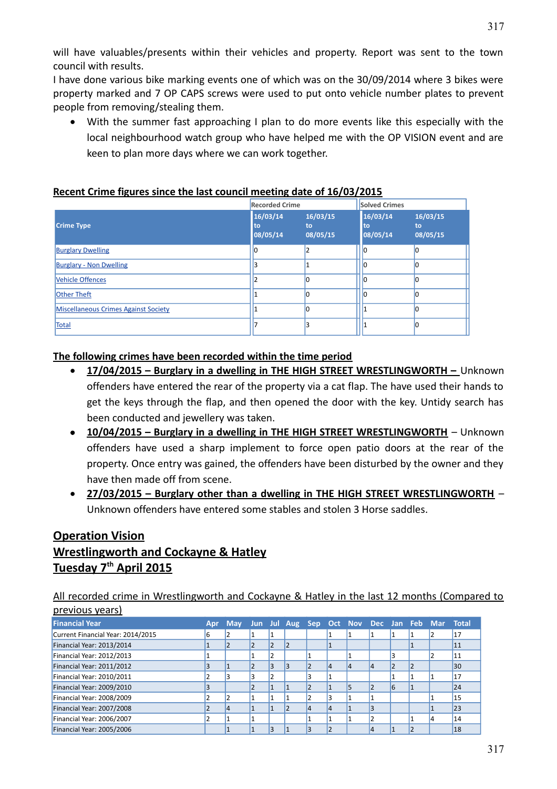will have valuables/presents within their vehicles and property. Report was sent to the town council with results.

I have done various bike marking events one of which was on the 30/09/2014 where 3 bikes were property marked and 7 OP CAPS screws were used to put onto vehicle number plates to prevent people from removing/stealing them.

 With the summer fast approaching I plan to do more events like this especially with the local neighbourhood watch group who have helped me with the OP VISION event and are keen to plan more days where we can work together.

|--|

|                                      | <b>Recorded Crime</b>      |                            |                            |                            |
|--------------------------------------|----------------------------|----------------------------|----------------------------|----------------------------|
| <b>Crime Type</b>                    | 16/03/14<br>to<br>08/05/14 | 16/03/15<br>to<br>08/05/15 | 16/03/14<br>to<br>08/05/14 | 16/03/15<br>to<br>08/05/15 |
| <b>Burglary Dwelling</b>             |                            | $\overline{2}$             | 10                         |                            |
| <b>Burglary - Non Dwelling</b>       |                            |                            |                            |                            |
| <b>Vehicle Offences</b>              |                            | 0                          |                            |                            |
| <b>Other Theft</b>                   |                            | ۵                          |                            |                            |
| Miscellaneous Crimes Against Society |                            | በ                          |                            |                            |
| Total                                |                            |                            |                            |                            |

#### **The following crimes have been recorded within the time period**

- **17/04/2015 Burglary in a dwelling in THE HIGH STREET WRESTLINGWORTH** Unknown offenders have entered the rear of the property via a cat flap. The have used their hands to get the keys through the flap, and then opened the door with the key. Untidy search has been conducted and jewellery was taken.
- **10/04/2015 Burglary in a dwelling in THE HIGH STREET WRESTLINGWORTH** Unknown offenders have used a sharp implement to force open patio doors at the rear of the property. Once entry was gained, the offenders have been disturbed by the owner and they have then made off from scene.
- **27/03/2015 Burglary other than a dwelling in THE HIGH STREET WRESTLINGWORTH** Unknown offenders have entered some stables and stolen 3 Horse saddles.

# **Operation Vision Wrestlingworth and Cockayne & Hatley Tuesday 7th April 2015**

All recorded crime in Wrestlingworth and Cockayne & Hatley in the last 12 months (Compared to previous years)

| <b>Financial Year</b>             | Apr |   |                |  |    |    |   | May Jun Jul Aug Sep Oct Nov Dec Jan Feb Mar Total |    |
|-----------------------------------|-----|---|----------------|--|----|----|---|---------------------------------------------------|----|
| Current Financial Year: 2014/2015 |     |   |                |  |    |    |   |                                                   | 17 |
| Financial Year: 2013/2014         |     |   | $\overline{2}$ |  |    |    |   |                                                   | 11 |
| Financial Year: 2012/2013         |     |   | $\overline{2}$ |  |    |    |   |                                                   | 11 |
| Financial Year: 2011/2012         |     |   | 3              |  | 14 | 14 |   |                                                   | 30 |
| Financial Year: 2010/2011         |     |   |                |  |    |    |   |                                                   | 17 |
| Financial Year: 2009/2010         |     |   |                |  |    | 5  | 6 |                                                   | 24 |
| Financial Year: 2008/2009         |     |   |                |  |    |    |   |                                                   | 15 |
| Financial Year: 2007/2008         |     | 4 |                |  | 4  |    |   |                                                   | 23 |
| Financial Year: 2006/2007         |     |   |                |  |    |    |   | 14                                                | 14 |
| Financial Year: 2005/2006         |     |   |                |  |    |    |   |                                                   | 18 |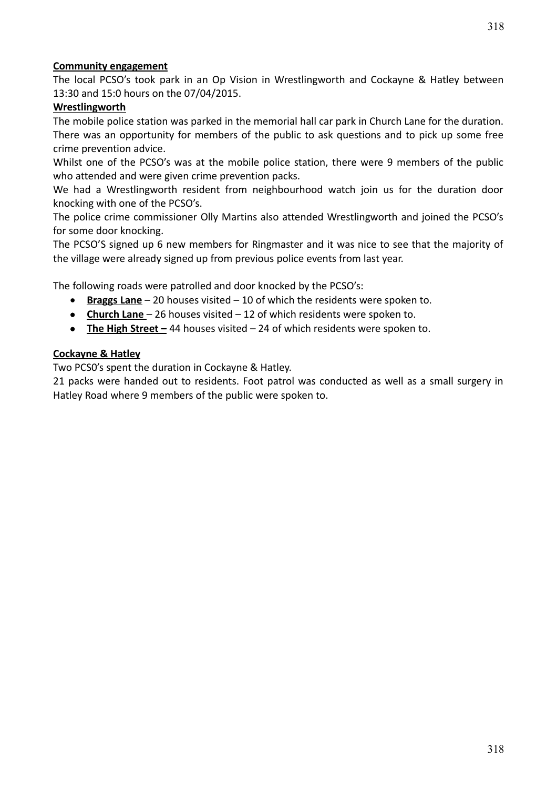## **Community engagement**

The local PCSO's took park in an Op Vision in Wrestlingworth and Cockayne & Hatley between 13:30 and 15:0 hours on the 07/04/2015.

## **Wrestlingworth**

The mobile police station was parked in the memorial hall car park in Church Lane for the duration. There was an opportunity for members of the public to ask questions and to pick up some free crime prevention advice.

Whilst one of the PCSO's was at the mobile police station, there were 9 members of the public who attended and were given crime prevention packs.

We had a Wrestlingworth resident from neighbourhood watch join us for the duration door knocking with one of the PCSO's.

The police crime commissioner Olly Martins also attended Wrestlingworth and joined the PCSO's for some door knocking.

The PCSO'S signed up 6 new members for Ringmaster and it was nice to see that the majority of the village were already signed up from previous police events from last year.

The following roads were patrolled and door knocked by the PCSO's:

- **Braggs Lane** 20 houses visited 10 of which the residents were spoken to.
- **Church Lane**  26 houses visited 12 of which residents were spoken to.
- **The High Street –** 44 houses visited 24 of which residents were spoken to.

## **Cockayne & Hatley**

Two PCS0's spent the duration in Cockayne & Hatley.

21 packs were handed out to residents. Foot patrol was conducted as well as a small surgery in Hatley Road where 9 members of the public were spoken to.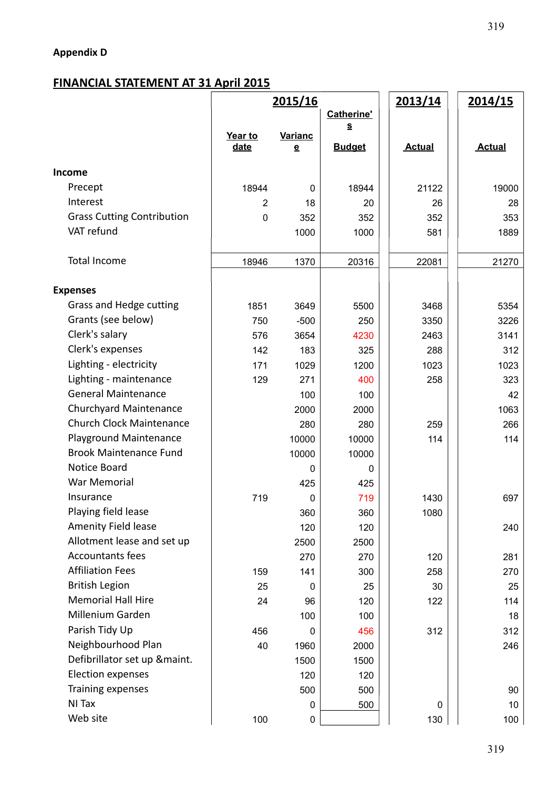# **Appendix D**

# **FINANCIAL STATEMENT AT 31 April 2015**

|                                   | 2015/16        |                          |                   | 2013/14       | <u>2014/15</u> |  |  |
|-----------------------------------|----------------|--------------------------|-------------------|---------------|----------------|--|--|
|                                   |                |                          | <b>Catherine'</b> |               |                |  |  |
|                                   | Year to        | <b>Varianc</b>           | <u>s</u>          |               |                |  |  |
|                                   | date           | $\underline{\mathbf{e}}$ | <b>Budget</b>     | <b>Actual</b> | <b>Actual</b>  |  |  |
| Income                            |                |                          |                   |               |                |  |  |
| Precept                           | 18944          | 0                        | 18944             | 21122         | 19000          |  |  |
| Interest                          | $\overline{2}$ | 18                       | 20                | 26            | 28             |  |  |
| <b>Grass Cutting Contribution</b> | $\mathbf 0$    | 352                      | 352               | 352           | 353            |  |  |
| VAT refund                        |                | 1000                     | 1000              | 581           | 1889           |  |  |
| Total Income                      | 18946          | 1370                     | 20316             | 22081         | 21270          |  |  |
|                                   |                |                          |                   |               |                |  |  |
| <b>Expenses</b>                   |                |                          |                   |               |                |  |  |
| Grass and Hedge cutting           | 1851           | 3649                     | 5500              | 3468          | 5354           |  |  |
| Grants (see below)                | 750            | $-500$                   | 250               | 3350          | 3226           |  |  |
| Clerk's salary                    | 576            | 3654                     | 4230              | 2463          | 3141           |  |  |
| Clerk's expenses                  | 142            | 183                      | 325               | 288           | 312            |  |  |
| Lighting - electricity            | 171            | 1029                     | 1200              | 1023          | 1023           |  |  |
| Lighting - maintenance            | 129            | 271                      | 400               | 258           | 323            |  |  |
| <b>General Maintenance</b>        |                | 100                      | 100               |               | 42             |  |  |
| Churchyard Maintenance            |                | 2000                     | 2000              |               | 1063           |  |  |
| <b>Church Clock Maintenance</b>   |                | 280                      | 280               | 259           | 266            |  |  |
| Playground Maintenance            |                | 10000                    | 10000             | 114           | 114            |  |  |
| <b>Brook Maintenance Fund</b>     |                | 10000                    | 10000             |               |                |  |  |
| Notice Board                      |                | 0                        | 0                 |               |                |  |  |
| War Memorial                      |                | 425                      | 425               |               |                |  |  |
| Insurance                         | 719            | 0                        | 719               | 1430          | 697            |  |  |
| Playing field lease               |                | 360                      | 360               | 1080          |                |  |  |
| Amenity Field lease               |                | 120                      | 120               |               | 240            |  |  |
| Allotment lease and set up        |                | 2500                     | 2500              |               |                |  |  |
| <b>Accountants fees</b>           |                | 270                      | 270               | 120           | 281            |  |  |
| <b>Affiliation Fees</b>           | 159            | 141                      | 300               | 258           | 270            |  |  |
| <b>British Legion</b>             | 25             | $\mathbf 0$              | 25                | 30            | 25             |  |  |
| <b>Memorial Hall Hire</b>         | 24             | 96                       | 120               | 122           | 114            |  |  |
| Millenium Garden                  |                | 100                      | 100               |               | 18             |  |  |
| Parish Tidy Up                    | 456            | 0                        | 456               | 312           | 312            |  |  |
| Neighbourhood Plan                | 40             | 1960                     | 2000              |               | 246            |  |  |
| Defibrillator set up &maint.      |                | 1500                     | 1500              |               |                |  |  |
| Election expenses                 |                | 120                      | 120               |               |                |  |  |
| Training expenses                 |                | 500                      | 500               |               | 90             |  |  |
| NI Tax                            |                | 0                        | 500               | 0             | 10             |  |  |
| Web site                          | 100            | 0                        |                   | 130           | 100            |  |  |